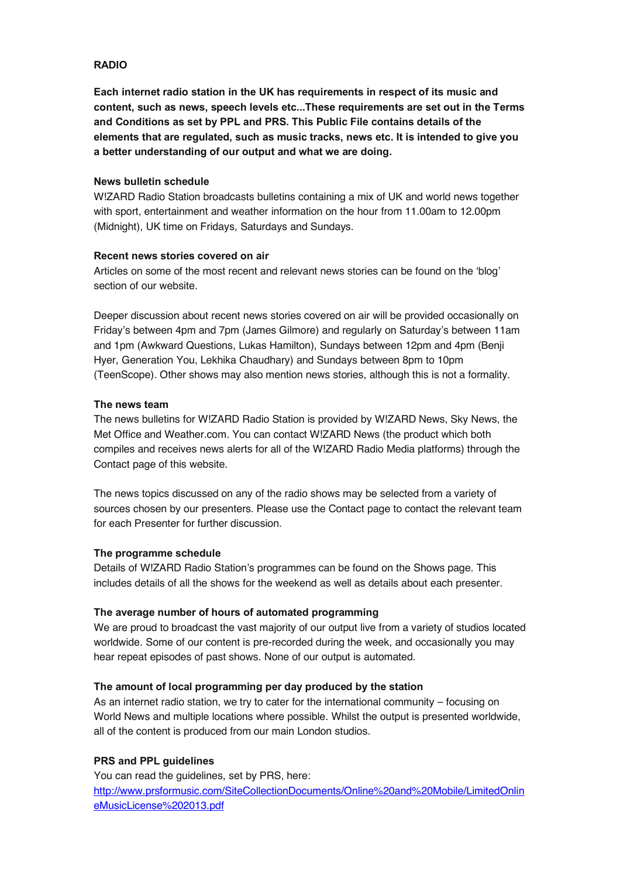# **RADIO**

**Each internet radio station in the UK has requirements in respect of its music and content, such as news, speech levels etc...These requirements are set out in the Terms and Conditions as set by PPL and PRS. This Public File contains details of the elements that are regulated, such as music tracks, news etc. It is intended to give you a better understanding of our output and what we are doing.**

### **News bulletin schedule**

W!ZARD Radio Station broadcasts bulletins containing a mix of UK and world news together with sport, entertainment and weather information on the hour from 11.00am to 12.00pm (Midnight), UK time on Fridays, Saturdays and Sundays.

### **Recent news stories covered on air**

Articles on some of the most recent and relevant news stories can be found on the 'blog' section of our website.

Deeper discussion about recent news stories covered on air will be provided occasionally on Friday's between 4pm and 7pm (James Gilmore) and regularly on Saturday's between 11am and 1pm (Awkward Questions, Lukas Hamilton), Sundays between 12pm and 4pm (Benji Hyer, Generation You, Lekhika Chaudhary) and Sundays between 8pm to 10pm (TeenScope). Other shows may also mention news stories, although this is not a formality.

### **The news team**

The news bulletins for W!ZARD Radio Station is provided by W!ZARD News, Sky News, the Met Office and Weather.com. You can contact W!ZARD News (the product which both compiles and receives news alerts for all of the W!ZARD Radio Media platforms) through the Contact page of this website.

The news topics discussed on any of the radio shows may be selected from a variety of sources chosen by our presenters. Please use the Contact page to contact the relevant team for each Presenter for further discussion.

# **The programme schedule**

Details of W!ZARD Radio Station's programmes can be found on the Shows page. This includes details of all the shows for the weekend as well as details about each presenter.

# **The average number of hours of automated programming**

We are proud to broadcast the vast majority of our output live from a variety of studios located worldwide. Some of our content is pre-recorded during the week, and occasionally you may hear repeat episodes of past shows. None of our output is automated.

# **The amount of local programming per day produced by the station**

As an internet radio station, we try to cater for the international community – focusing on World News and multiple locations where possible. Whilst the output is presented worldwide, all of the content is produced from our main London studios.

# **PRS and PPL guidelines**

You can read the guidelines, set by PRS, here: http://www.prsformusic.com/SiteCollectionDocuments/Online%20and%20Mobile/LimitedOnlin eMusicLicense%202013.pdf